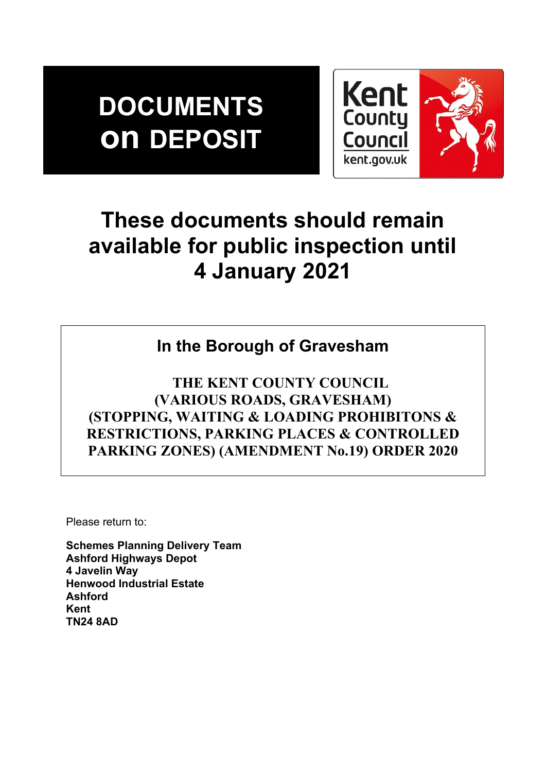# **DOCUMENTS on DEPOSIT**



## **These documents should remain available for public inspection until 4 January 2021**

## **In the Borough of Gravesham**

 **THE KENT COUNTY COUNCIL (VARIOUS ROADS, GRAVESHAM) (STOPPING, WAITING & LOADING PROHIBITONS & RESTRICTIONS, PARKING PLACES & CONTROLLED PARKING ZONES) (AMENDMENT No.19) ORDER 2020**

Please return to:

**Schemes Planning Delivery Team Ashford Highways Depot 4 Javelin Way Henwood Industrial Estate Ashford Kent TN24 8AD**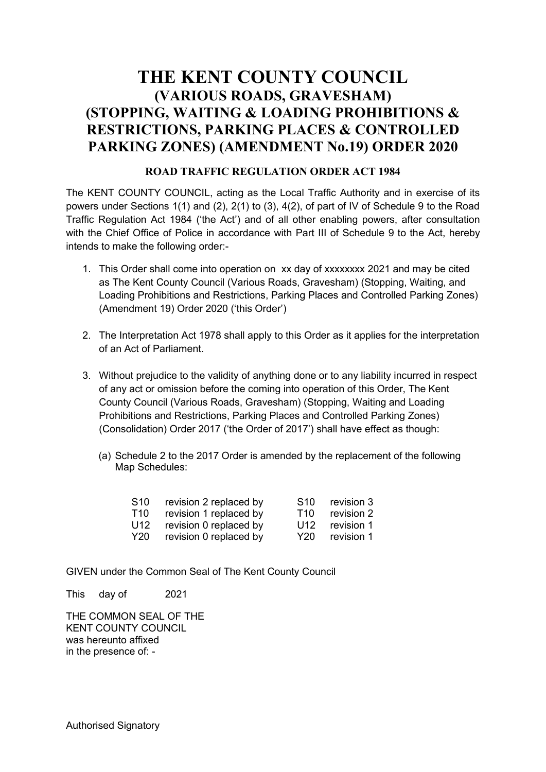### **THE KENT COUNTY COUNCIL (VARIOUS ROADS, GRAVESHAM) (STOPPING, WAITING & LOADING PROHIBITIONS & RESTRICTIONS, PARKING PLACES & CONTROLLED PARKING ZONES) (AMENDMENT No.19) ORDER 2020**

#### **ROAD TRAFFIC REGULATION ORDER ACT 1984**

The KENT COUNTY COUNCIL, acting as the Local Traffic Authority and in exercise of its powers under Sections 1(1) and (2), 2(1) to (3), 4(2), of part of IV of Schedule 9 to the Road Traffic Regulation Act 1984 ('the Act') and of all other enabling powers, after consultation with the Chief Office of Police in accordance with Part III of Schedule 9 to the Act, hereby intends to make the following order:-

- 1. This Order shall come into operation on xx day of xxxxxxxx 2021 and may be cited as The Kent County Council (Various Roads, Gravesham) (Stopping, Waiting, and Loading Prohibitions and Restrictions, Parking Places and Controlled Parking Zones) (Amendment 19) Order 2020 ('this Order')
- 2. The Interpretation Act 1978 shall apply to this Order as it applies for the interpretation of an Act of Parliament.
- 3. Without prejudice to the validity of anything done or to any liability incurred in respect of any act or omission before the coming into operation of this Order, The Kent County Council (Various Roads, Gravesham) (Stopping, Waiting and Loading Prohibitions and Restrictions, Parking Places and Controlled Parking Zones) (Consolidation) Order 2017 ('the Order of 2017') shall have effect as though:
	- (a) Schedule 2 to the 2017 Order is amended by the replacement of the following Map Schedules:

| S <sub>10</sub> | revision 2 replaced by | S <sub>10</sub> | revision 3 |
|-----------------|------------------------|-----------------|------------|
| T <sub>10</sub> | revision 1 replaced by | T <sub>10</sub> | revision 2 |
| U12             | revision 0 replaced by | U12             | revision 1 |
| Y <sub>20</sub> | revision 0 replaced by | Y20             | revision 1 |

GIVEN under the Common Seal of The Kent County Council

This day of 2021

THE COMMON SEAL OF THE KENT COUNTY COUNCIL was hereunto affixed in the presence of: -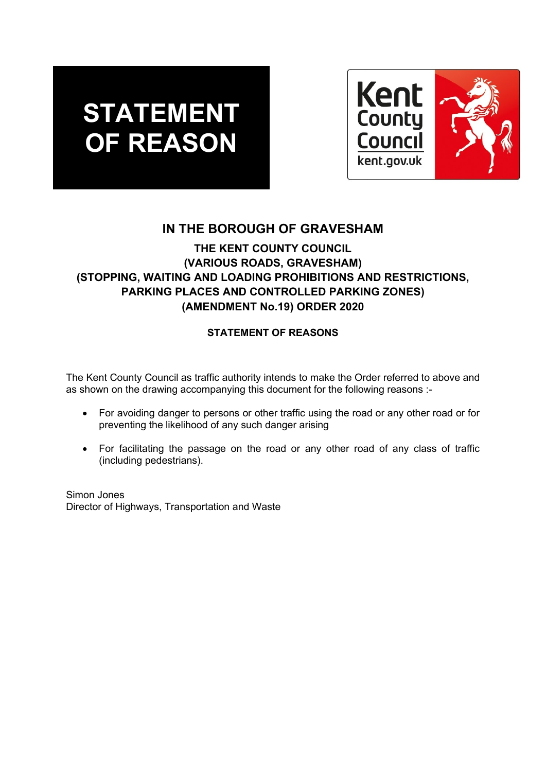## **STATEMENT OF REASON**



### **IN THE BOROUGH OF GRAVESHAM**

#### **THE KENT COUNTY COUNCIL (VARIOUS ROADS, GRAVESHAM) (STOPPING, WAITING AND LOADING PROHIBITIONS AND RESTRICTIONS, PARKING PLACES AND CONTROLLED PARKING ZONES) (AMENDMENT No.19) ORDER 2020**

#### **STATEMENT OF REASONS**

The Kent County Council as traffic authority intends to make the Order referred to above and as shown on the drawing accompanying this document for the following reasons :-

- For avoiding danger to persons or other traffic using the road or any other road or for preventing the likelihood of any such danger arising
- For facilitating the passage on the road or any other road of any class of traffic (including pedestrians).

Simon Jones Director of Highways, Transportation and Waste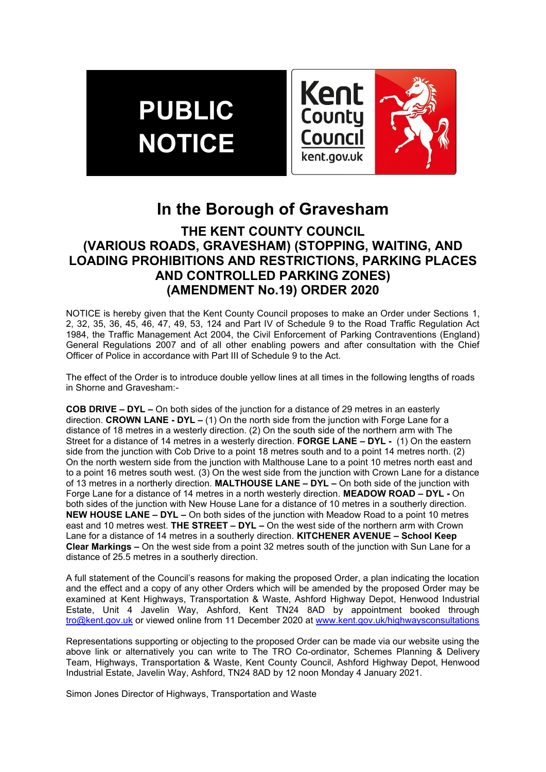## **PUBLIC NOTICE**



### **In the Borough of Gravesham**

#### **THE KENT COUNTY COUNCIL (VARIOUS ROADS, GRAVESHAM) (STOPPING, WAITING, AND LOADING PROHIBITIONS AND RESTRICTIONS, PARKING PLACES AND CONTROLLED PARKING ZONES) (AMENDMENT No.19) ORDER 2020**

NOTICE is hereby given that the Kent County Council proposes to make an Order under Sections 1, 2, 32, 35, 36, 45, 46, 47, 49, 53, 124 and Part IV of Schedule 9 to the Road Traffic Regulation Act 1984, the Traffic Management Act 2004, the Civil Enforcement of Parking Contraventions (England) General Regulations 2007 and of all other enabling powers and after consultation with the Chief Officer of Police in accordance with Part III of Schedule 9 to the Act.

The effect of the Order is to introduce double yellow lines at all times in the following lengths of roads in Shorne and Gravesham:-

**COB DRIVE – DYL –** On both sides of the junction for a distance of 29 metres in an easterly direction. **CROWN LANE - DYL –** (1) On the north side from the junction with Forge Lane for a distance of 18 metres in a westerly direction. (2) On the south side of the northern arm with The Street for a distance of 14 metres in a westerly direction. **FORGE LANE – DYL -** (1) On the eastern side from the junction with Cob Drive to a point 18 metres south and to a point 14 metres north. (2) On the north western side from the junction with Malthouse Lane to a point 10 metres north east and to a point 16 metres south west. (3) On the west side from the junction with Crown Lane for a distance of 13 metres in a northerly direction. **MALTHOUSE LANE – DYL –** On both side of the junction with Forge Lane for a distance of 14 metres in a north westerly direction. **MEADOW ROAD – DYL -** On both sides of the junction with New House Lane for a distance of 10 metres in a southerly direction. **NEW HOUSE LANE – DYL –** On both sides of the junction with Meadow Road to a point 10 metres east and 10 metres west. **THE STREET – DYL –** On the west side of the northern arm with Crown Lane for a distance of 14 metres in a southerly direction. **KITCHENER AVENUE – School Keep Clear Markings –** On the west side from a point 32 metres south of the junction with Sun Lane for a distance of 25.5 metres in a southerly direction.

A full statement of the Council's reasons for making the proposed Order, a plan indicating the location and the effect and a copy of any other Orders which will be amended by the proposed Order may be examined at Kent Highways, Transportation & Waste, Ashford Highway Depot, Henwood Industrial Estate, Unit 4 Javelin Way, Ashford, Kent TN24 8AD by appointment booked through [tro@kent.gov.uk](mailto:tro@kent.gov.uk) or viewed online from 11 December 2020 at [www.kent.gov.uk/highwaysconsultations](http://www.kent.gov.uk/highwaysconsultations)

Representations supporting or objecting to the proposed Order can be made via our website using the above link or alternatively you can write to The TRO Co-ordinator, Schemes Planning & Delivery Team, Highways, Transportation & Waste, Kent County Council, Ashford Highway Depot, Henwood Industrial Estate, Javelin Way, Ashford, TN24 8AD by 12 noon Monday 4 January 2021.

Simon Jones Director of Highways, Transportation and Waste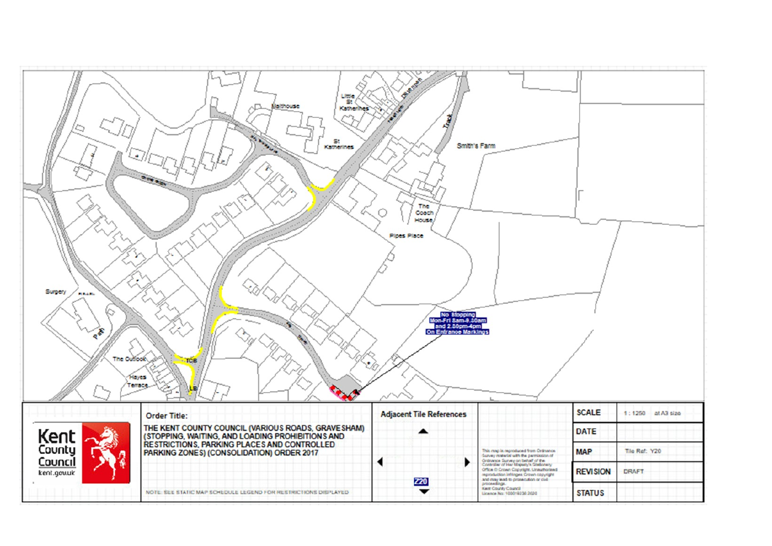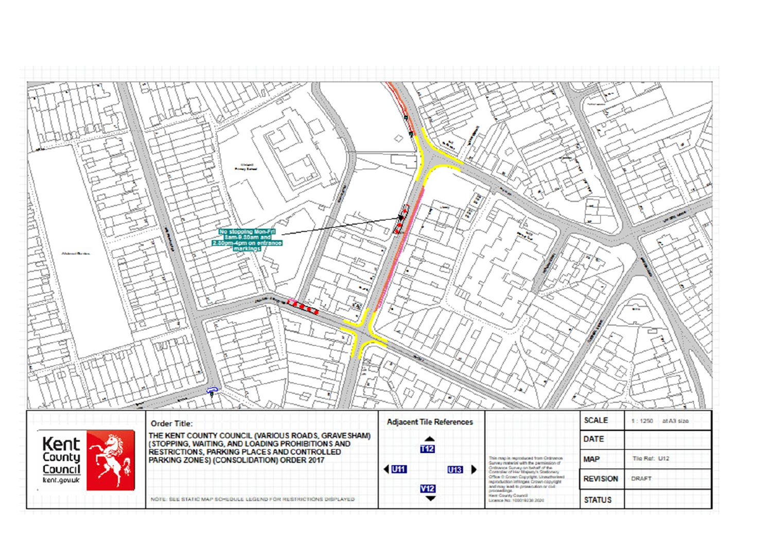